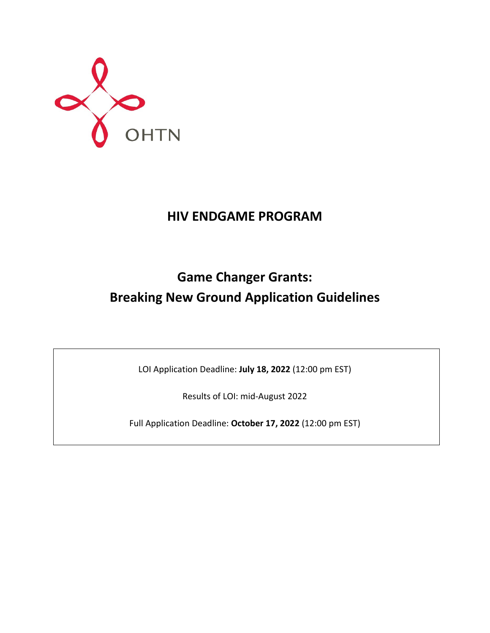

## **HIV ENDGAME PROGRAM**

# **Game Changer Grants: Breaking New Ground Application Guidelines**

LOI Application Deadline: **July 18, 2022** (12:00 pm EST)

Results of LOI: mid-August 2022

Full Application Deadline: **October 17, 2022** (12:00 pm EST)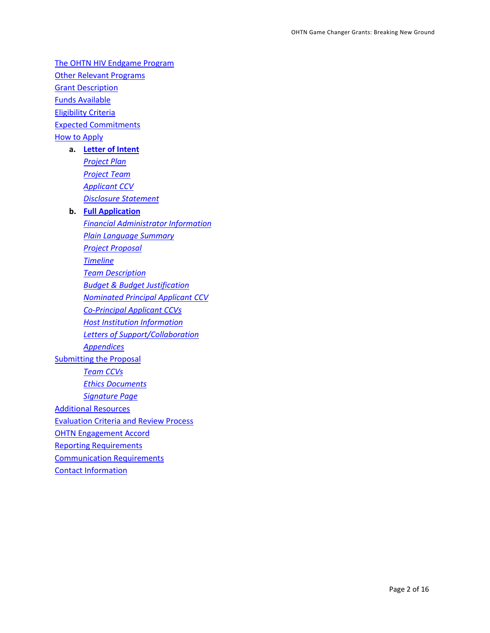[The OHTN HIV Endgame Program](#page-2-0) [Other Relevant Programs](#page-3-0) **Grant [Description](#page-3-1)** [Funds Available](#page-4-0) [Eligibility Criteria](#page-4-1) [Expected Commitments](#page-5-0) [How to Apply](#page-5-1) **a. [Letter of Intent](#page-5-2)** *[Project Plan](#page-6-0) [Project Team](#page-6-1) [Applicant](#page-6-2) CCV [Disclosure Statement](#page-6-3)* **b. [Full Application](#page-7-0)** *[Financial Administrator Information](#page-7-1) [Plain Language Summary](#page-8-0) [Project Proposal](#page-8-1) [Timeline](#page-9-0) [Team Description](#page-9-1)*

*[Budget & Budget Justification](#page-9-2)*

*[Nominated Principal Applicant](#page-10-0) CCV*

*[Co-Principal Applicant](#page-10-1) CCVs*

*[Host Institution Information](#page-10-2)*

*[Letters of Support/Collaboration](#page-10-3)*

*[Appendices](#page-10-4)*

**[Submitting the Proposal](#page-10-5)** 

*[Team CCVs](#page-11-0)*

*[Ethics Documents](#page-11-1)*

*[Signature Page](#page-11-2)*

[Additional Resources](#page-11-3)

[Evaluation Criteria and Review Process](#page-13-0)

[OHTN Engagement Accord](#page-14-0)

[Reporting Requirements](#page-14-1)

[Communication Requirements](#page-14-2)

[Contact Information](#page-15-0)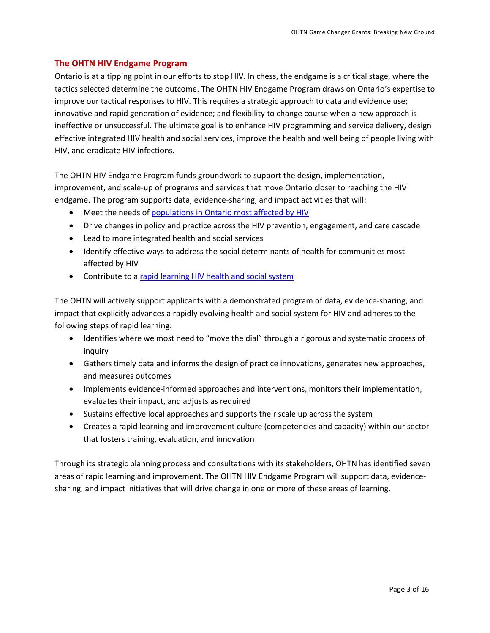#### <span id="page-2-0"></span>**The OHTN HIV Endgame Program**

Ontario is at a tipping point in our efforts to stop HIV. In chess, the endgame is a critical stage, where the tactics selected determine the outcome. The OHTN HIV Endgame Program draws on Ontario's expertise to improve our tactical responses to HIV. This requires a strategic approach to data and evidence use; innovative and rapid generation of evidence; and flexibility to change course when a new approach is ineffective or unsuccessful. The ultimate goal is to enhance HIV programming and service delivery, design effective integrated HIV health and social services, improve the health and well being of people living with HIV, and eradicate HIV infections.

The OHTN HIV Endgame Program funds groundwork to support the design, implementation, improvement, and scale-up of programs and services that move Ontario closer to reaching the HIV endgame. The program supports data, evidence-sharing, and impact activities that will:

- Meet the needs of [populations in Ontario most affected by HIV](#page-3-2)
- Drive changes in policy and practice across the HIV prevention, engagement, and care cascade
- Lead to more integrated health and social services
- Identify effective ways to address the social determinants of health for communities most affected by HIV
- Contribute to a [rapid learning HIV health and social system](http://www.ohtn.on.ca/about/rapid-learning/)

The OHTN will actively support applicants with a demonstrated program of data, evidence-sharing, and impact that explicitly advances a rapidly evolving health and social system for HIV and adheres to the following steps of rapid learning:

- Identifies where we most need to "move the dial" through a rigorous and systematic process of inquiry
- Gathers timely data and informs the design of practice innovations, generates new approaches, and measures outcomes
- Implements evidence-informed approaches and interventions, monitors their implementation, evaluates their impact, and adjusts as required
- Sustains effective local approaches and supports their scale up across the system
- Creates a rapid learning and improvement culture (competencies and capacity) within our sector that fosters training, evaluation, and innovation

Through its strategic planning process and consultations with its stakeholders, OHTN has identified seven areas of rapid learning and improvement. The OHTN HIV Endgame Program will support data, evidencesharing, and impact initiatives that will drive change in one or more of these areas of learning.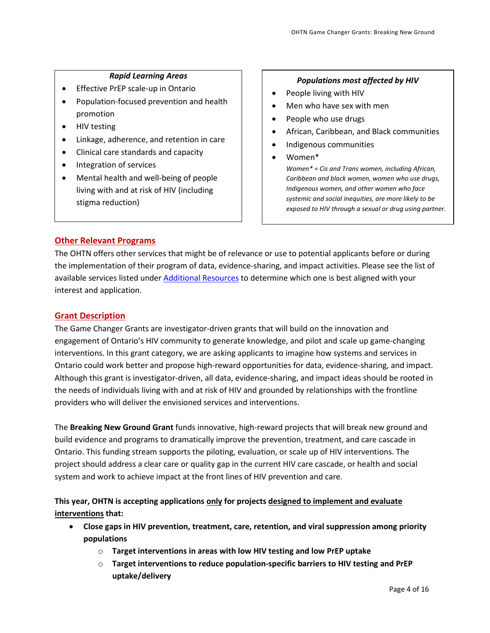#### *Rapid Learning Areas*

- <span id="page-3-3"></span>• Effective PrEP scale-up in Ontario
- Population-focused prevention and health promotion
- HIV testing
- Linkage, adherence, and retention in care
- Clinical care standards and capacity
- Integration of services
- Mental health and well-being of people living with and at risk of HIV (including stigma reduction)

#### *Populations most affected by HIV*

- <span id="page-3-2"></span>People living with HIV
- Men who have sex with men
- People who use drugs
- African, Caribbean, and Black communities
- Indigenous communities
- Women\*

*Women\* = Cis and Trans women, including African, Caribbean and black women, women who use drugs, Indigenous women, and other women who face systemic and social inequities, are more likely to be exposed to HIV through a sexual or drug using partner.*

## <span id="page-3-0"></span>**Other Relevant Programs**

The OHTN offers other services that might be of relevance or use to potential applicants before or during the implementation of their program of data, evidence-sharing, and impact activities. Please see the list of available services listed under [Additional Resources](#page-11-3) to determine which one is best aligned with your interest and application.

#### <span id="page-3-1"></span>**Grant Description**

The Game Changer Grants are investigator-driven grants that will build on the innovation and engagement of Ontario's HIV community to generate knowledge, and pilot and scale up game-changing interventions. In this grant category, we are asking applicants to imagine how systems and services in Ontario could work better and propose high-reward opportunities for data, evidence-sharing, and impact. Although this grant is investigator-driven, all data, evidence-sharing, and impact ideas should be rooted in the needs of individuals living with and at risk of HIV and grounded by relationships with the frontline providers who will deliver the envisioned services and interventions.

The **Breaking New Ground Grant** funds innovative, high-reward projects that will break new ground and build evidence and programs to dramatically improve the prevention, treatment, and care cascade in Ontario. This funding stream supports the piloting, evaluation, or scale up of HIV interventions. The project should address a clear care or quality gap in the current HIV care cascade, or health and social system and work to achieve impact at the front lines of HIV prevention and care.

## **This year, OHTN is accepting applications only for projects designed to implement and evaluate interventions that:**

- **Close gaps in HIV prevention, treatment, care, retention, and viral suppression among priority populations**
	- o **Target interventions in areas with low HIV testing and low PrEP uptake**
	- o **Target interventions to reduce population-specific barriers to HIV testing and PrEP uptake/delivery**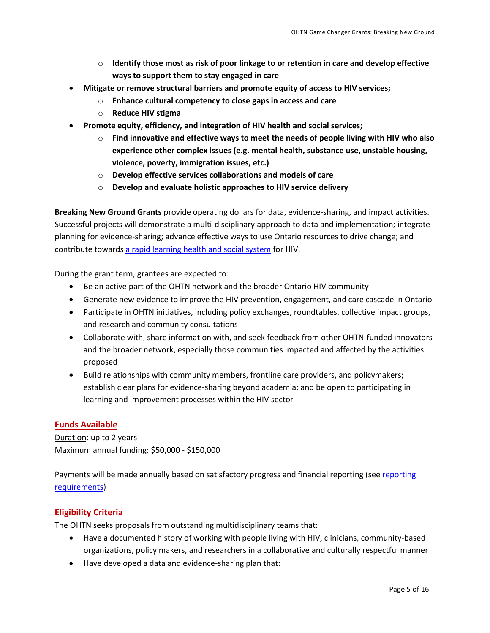- o **Identify those most as risk of poor linkage to or retention in care and develop effective ways to support them to stay engaged in care**
- **Mitigate or remove structural barriers and promote equity of access to HIV services;**
	- o **Enhance cultural competency to close gaps in access and care**
	- o **Reduce HIV stigma**
- **Promote equity, efficiency, and integration of HIV health and social services;**
	- o **Find innovative and effective ways to meet the needs of people living with HIV who also experience other complex issues (e.g. mental health, substance use, unstable housing, violence, poverty, immigration issues, etc.)**
	- o **Develop effective services collaborations and models of care**
	- o **Develop and evaluate holistic approaches to HIV service delivery**

**Breaking New Ground Grants** provide operating dollars for data, evidence-sharing, and impact activities. Successful projects will demonstrate a multi-disciplinary approach to data and implementation; integrate planning for evidence-sharing; advance effective ways to use Ontario resources to drive change; and contribute towards [a rapid learning health and social system](http://www.ohtn.on.ca/about/rapid-learning/) for HIV.

During the grant term, grantees are expected to:

- Be an active part of the OHTN network and the broader Ontario HIV community
- Generate new evidence to improve the HIV prevention, engagement, and care cascade in Ontario
- Participate in OHTN initiatives, including policy exchanges, roundtables, collective impact groups, and research and community consultations
- Collaborate with, share information with, and seek feedback from other OHTN-funded innovators and the broader network, especially those communities impacted and affected by the activities proposed
- Build relationships with community members, frontline care providers, and policymakers; establish clear plans for evidence-sharing beyond academia; and be open to participating in learning and improvement processes within the HIV sector

#### <span id="page-4-0"></span>**Funds Available**

Duration: up to 2 years Maximum annual funding: \$50,000 - \$150,000

Payments will be made annually based on satisfactory progress and financial [reporting](#page-14-1) (see reporting [requirements\)](#page-14-1)

#### <span id="page-4-1"></span>**Eligibility Criteria**

The OHTN seeks proposals from outstanding multidisciplinary teams that:

- Have a documented history of working with people living with HIV, clinicians, community-based organizations, policy makers, and researchers in a collaborative and culturally respectful manner
- Have developed a data and evidence-sharing plan that: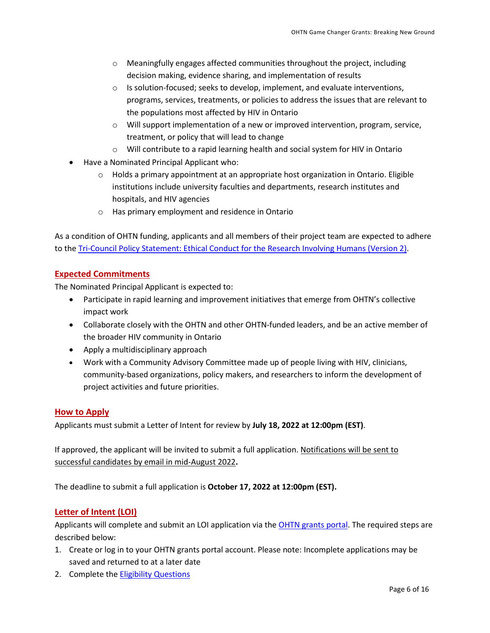- $\circ$  Meaningfully engages affected communities throughout the project, including decision making, evidence sharing, and implementation of results
- $\circ$  Is solution-focused; seeks to develop, implement, and evaluate interventions, programs, services, treatments, or policies to address the issues that are relevant to the populations most affected by HIV in Ontario
- $\circ$  Will support implementation of a new or improved intervention, program, service, treatment, or policy that will lead to change
- o Will contribute to a rapid learning health and social system for HIV in Ontario
- Have a Nominated Principal Applicant who:
	- $\circ$  Holds a primary appointment at an appropriate host organization in Ontario. Eligible institutions include university faculties and departments, research institutes and hospitals, and HIV agencies
	- o Has primary employment and residence in Ontario

As a condition of OHTN funding, applicants and all members of their project team are expected to adhere to the [Tri-Council Policy Statement: Ethical Conduct for the Research Involving Humans \(Version 2\).](http://www.pre.ethics.gc.ca/eng/policy-politique_tcps2-eptc2_2018.html)

## <span id="page-5-0"></span>**Expected Commitments**

The Nominated Principal Applicant is expected to:

- Participate in rapid learning and improvement initiatives that emerge from OHTN's collective impact work
- Collaborate closely with the OHTN and other OHTN-funded leaders, and be an active member of the broader HIV community in Ontario
- Apply a multidisciplinary approach
- Work with a Community Advisory Committee made up of people living with HIV, clinicians, community-based organizations, policy makers, and researchers to inform the development of project activities and future priorities.

#### <span id="page-5-1"></span>**How to Apply**

Applicants must submit a Letter of Intent for review by **July 18, 2022 at 12:00pm (EST)**.

If approved, the applicant will be invited to submit a full application. Notifications will be sent to successful candidates by email in mid-August 2022**.**

The deadline to submit a full application is **October 17, 2022 at 12:00pm (EST).** 

## <span id="page-5-2"></span>**Letter of Intent (LOI)**

Applicants will complete and submit an LOI application via the [OHTN grants portal.](https://apply-ohtn-on.smapply.io/) The required steps are described below:

- 1. Create or log in to your OHTN grants portal account. Please note: Incomplete applications may be saved and returned to at a later date
- 2. Complete th[e Eligibility Questions](#page-4-1)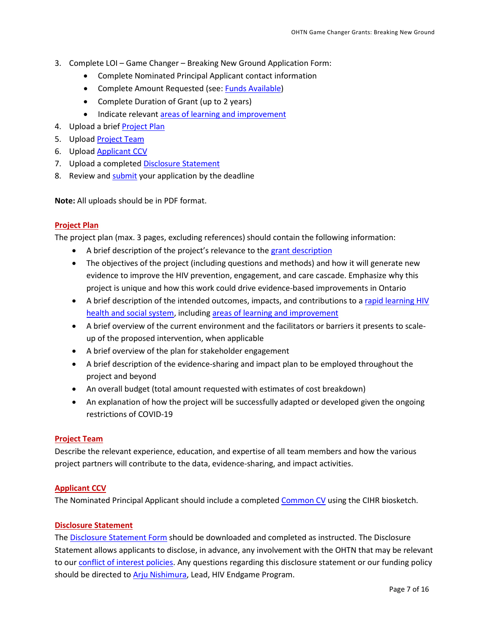- 3. Complete LOI Game Changer Breaking New Ground Application Form:
	- Complete Nominated Principal Applicant contact information
	- Complete Amount Requested (see: [Funds Available\)](#page-4-0)
	- Complete Duration of Grant (up to 2 years)
	- Indicate relevant [areas of learning and improvement](#page-3-3)
- 4. Upload a brief [Project Plan](#page-6-0)
- 5. Upload [Project Team](#page-6-1)
- 6. Upload **Applicant CCV**
- 7. Upload a completed [Disclosure Statement](#page-6-3)
- 8. Review an[d submit](#page-10-5) your application by the deadline

**Note:** All uploads should be in PDF format.

#### <span id="page-6-0"></span>**Project Plan**

The project plan (max. 3 pages, excluding references) should contain the following information:

- A brief [description](#page-3-1) of the project's relevance to the grant description
- The objectives of the project (including questions and methods) and how it will generate new evidence to improve the HIV prevention, engagement, and care cascade. Emphasize why this project is unique and how this work could drive evidence-based improvements in Ontario
- A brief description of the intended outcomes, impacts, and contributions to a rapid learning HIV [health and social system,](http://www.ohtn.on.ca/about/rapid-learning/) includin[g areas of learning and improvement](#page-3-3)
- A brief overview of the current environment and the facilitators or barriers it presents to scaleup of the proposed intervention, when applicable
- A brief overview of the plan for stakeholder engagement
- A brief description of the evidence-sharing and impact plan to be employed throughout the project and beyond
- An overall budget (total amount requested with estimates of cost breakdown)
- An explanation of how the project will be successfully adapted or developed given the ongoing restrictions of COVID-19

#### <span id="page-6-1"></span>**Project Team**

Describe the relevant experience, education, and expertise of all team members and how the various project partners will contribute to the data, evidence-sharing, and impact activities.

#### <span id="page-6-2"></span>**Applicant CCV**

The Nominated Principal Applicant should include a complete[d Common CV](https://ccv-cvc.ca/indexresearcher-eng.frm) using the CIHR biosketch.

#### <span id="page-6-3"></span>**Disclosure Statement**

Th[e Disclosure Statement Form](https://apply-ohtn-on.smapply.io/protected/resource/eyJoZnJlIjogOTkyMzg1MzAsICJ2cSI6IDE3Mzc3Nn0/) should be downloaded and completed as instructed. The Disclosure Statement allows applicants to disclose, in advance, any involvement with the OHTN that may be relevant to our [conflict of interest policies.](http://www.ohtn.on.ca/policies-and-guidelines/conflict-of-interest-policy/) Any questions regarding this disclosure statement or our funding policy should be directed to **Arju Nishimura**, Lead, HIV Endgame Program.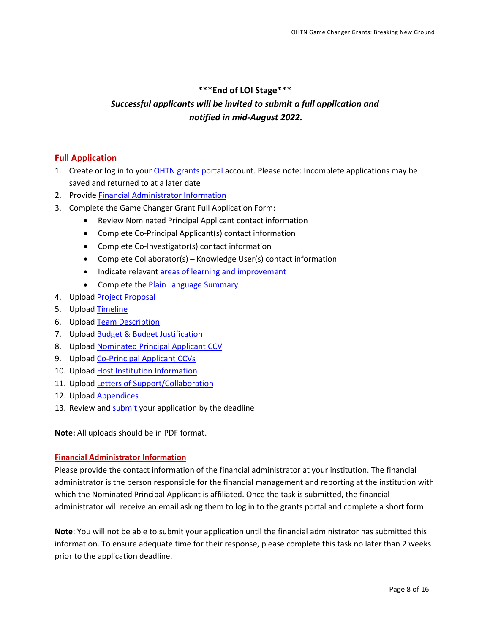## **\*\*\*End of LOI Stage\*\*\***

## *Successful applicants will be invited to submit a full application and notified in mid-August 2022.*

## <span id="page-7-0"></span>**Full Application**

- 1. Create or log in to your **OHTN** grants portal account. Please note: Incomplete applications may be saved and returned to at a later date
- 2. Provide [Financial Administrator Information](#page-7-1)
- 3. Complete the Game Changer Grant Full Application Form:
	- Review Nominated Principal Applicant contact information
	- Complete Co-Principal Applicant(s) contact information
	- Complete Co-Investigator(s) contact information
	- Complete Collaborator(s) Knowledge User(s) contact information
	- Indicate relevant [areas of learning and improvement](#page-3-3)
	- Complete the **Plain Language Summary**
- 4. Upload [Project Proposal](#page-8-1)
- 5. Upload [Timeline](#page-9-0)
- 6. Upload [Team Description](#page-9-1)
- 7. Upload [Budget & Budget Justification](#page-9-2)
- 8. Upload **Nominated Principal Applicant CCV**
- 9. Upload [Co-Principal Applicant](#page-10-1) CCVs
- 10. Upload [Host Institution Information](#page-10-2)
- 11. Upload [Letters of Support/Collaboration](#page-10-3)
- 12. Upload [Appendices](#page-10-4)
- 13. Review an[d submit](#page-10-5) your application by the deadline

**Note:** All uploads should be in PDF format.

#### <span id="page-7-1"></span>**Financial Administrator Information**

Please provide the contact information of the financial administrator at your institution. The financial administrator is the person responsible for the financial management and reporting at the institution with which the Nominated Principal Applicant is affiliated. Once the task is submitted, the financial administrator will receive an email asking them to log in to the grants portal and complete a short form.

**Note**: You will not be able to submit your application until the financial administrator has submitted this information. To ensure adequate time for their response, please complete this task no later than 2 weeks prior to the application deadline.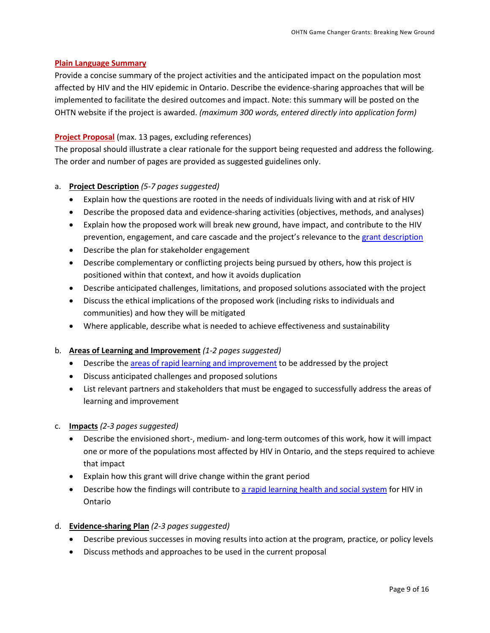#### <span id="page-8-0"></span>**Plain Language Summary**

Provide a concise summary of the project activities and the anticipated impact on the population most affected by HIV and the HIV epidemic in Ontario. Describe the evidence-sharing approaches that will be implemented to facilitate the desired outcomes and impact. Note: this summary will be posted on the OHTN website if the project is awarded. *(maximum 300 words, entered directly into application form)*

#### <span id="page-8-1"></span>**Project Proposal** (max. 13 pages, excluding references)

The proposal should illustrate a clear rationale for the support being requested and address the following. The order and number of pages are provided as suggested guidelines only.

#### a. **Project Description** *(5-7 pages suggested)*

- Explain how the questions are rooted in the needs of individuals living with and at risk of HIV
- Describe the proposed data and evidence-sharing activities (objectives, methods, and analyses)
- Explain how the proposed work will break new ground, have impact, and contribute to the HIV prevention, engagement, and care cascade and the project's relevance to the grant [description](#page-3-1)
- Describe the plan for stakeholder engagement
- Describe complementary or conflicting projects being pursued by others, how this project is positioned within that context, and how it avoids duplication
- Describe anticipated challenges, limitations, and proposed solutions associated with the project
- Discuss the ethical implications of the proposed work (including risks to individuals and communities) and how they will be mitigated
- Where applicable, describe what is needed to achieve effectiveness and sustainability

#### b. **Areas of Learning and Improvement** *(1-2 pages suggested)*

- Describe the areas of rapid [learning and improvement](#page-3-3) to be addressed by the project
- Discuss anticipated challenges and proposed solutions
- List relevant partners and stakeholders that must be engaged to successfully address the areas of learning and improvement
- c. **Impacts** *(2-3 pages suggested)*
	- Describe the envisioned short-, medium- and long-term outcomes of this work, how it will impact one or more of the populations most affected by HIV in Ontario, and the steps required to achieve that impact
	- Explain how this grant will drive change within the grant period
	- Describe how the findings will contribute to [a rapid learning health and social system](http://www.ohtn.on.ca/about/rapid-learning/) for HIV in Ontario
- d. **Evidence-sharing Plan** *(2-3 pages suggested)*
	- Describe previous successes in moving results into action at the program, practice, or policy levels
	- Discuss methods and approaches to be used in the current proposal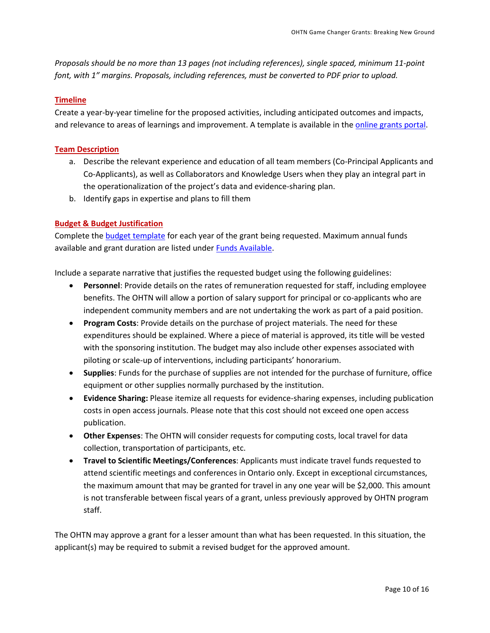*Proposals should be no more than 13 pages (not including references), single spaced, minimum 11-point font, with 1" margins. Proposals, including references, must be converted to PDF prior to upload.*

#### <span id="page-9-0"></span>**Timeline**

Create a year-by-year timeline for the proposed activities, including anticipated outcomes and impacts, and relevance to areas of learnings and improvement. A template is available in the [online grants portal.](https://apply-ohtn-on.smapply.io/)

#### <span id="page-9-1"></span>**Team Description**

- a. Describe the relevant experience and education of all team members (Co-Principal Applicants and Co-Applicants), as well as Collaborators and Knowledge Users when they play an integral part in the operationalization of the project's data and evidence-sharing plan.
- b. Identify gaps in expertise and plans to fill them

#### <span id="page-9-2"></span>**Budget & Budget Justification**

Complete th[e budget template](https://apply-ohtn-on.smapply.io/protected/resource/eyJoZnJlIjogOTkyMzg1MzAsICJ2cSI6IDE3Mzc3N30/) for each year of the grant being requested. Maximum annual funds available and grant duration are listed under [Funds Available.](#page-4-0)

Include a separate narrative that justifies the requested budget using the following guidelines:

- **Personnel**: Provide details on the rates of remuneration requested for staff, including employee benefits. The OHTN will allow a portion of salary support for principal or co-applicants who are independent community members and are not undertaking the work as part of a paid position.
- **Program Costs**: Provide details on the purchase of project materials. The need for these expenditures should be explained. Where a piece of material is approved, its title will be vested with the sponsoring institution. The budget may also include other expenses associated with piloting or scale-up of interventions, including participants' honorarium.
- **Supplies**: Funds for the purchase of supplies are not intended for the purchase of furniture, office equipment or other supplies normally purchased by the institution.
- **Evidence Sharing:** Please itemize all requests for evidence-sharing expenses, including publication costs in open access journals. Please note that this cost should not exceed one open access publication.
- **Other Expenses**: The OHTN will consider requests for computing costs, local travel for data collection, transportation of participants, etc.
- **Travel to Scientific Meetings/Conferences**: Applicants must indicate travel funds requested to attend scientific meetings and conferences in Ontario only. Except in exceptional circumstances, the maximum amount that may be granted for travel in any one year will be \$2,000. This amount is not transferable between fiscal years of a grant, unless previously approved by OHTN program staff.

The OHTN may approve a grant for a lesser amount than what has been requested. In this situation, the applicant(s) may be required to submit a revised budget for the approved amount.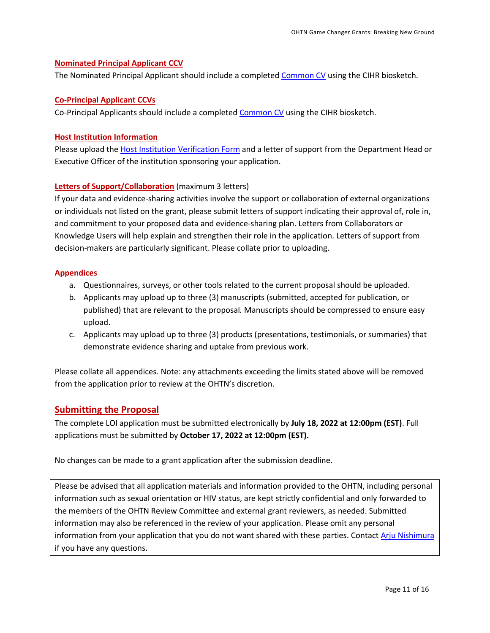#### <span id="page-10-0"></span>**Nominated Principal Applicant CCV**

The Nominated Principal Applicant should include a complete[d Common CV](https://ccv-cvc.ca/indexresearcher-eng.frm) using the CIHR biosketch.

#### <span id="page-10-1"></span>**Co-Principal Applicant CCVs**

Co-Principal Applicants should include a completed [Common CV](https://ccv-cvc.ca/indexresearcher-eng.frm) using the CIHR biosketch.

#### <span id="page-10-2"></span>**Host Institution Information**

Please upload th[e Host Institution Verification Form](https://apply-ohtn-on.smapply.io/protected/resource/eyJoZnJlIjogOTkyMzg1MzAsICJ2cSI6IDE2MTg3N30/) and a letter of support from the Department Head or Executive Officer of the institution sponsoring your application.

#### <span id="page-10-3"></span>**Letters of Support/Collaboration** (maximum 3 letters)

If your data and evidence-sharing activities involve the support or collaboration of external organizations or individuals not listed on the grant, please submit letters of support indicating their approval of, role in, and commitment to your proposed data and evidence-sharing plan. Letters from Collaborators or Knowledge Users will help explain and strengthen their role in the application. Letters of support from decision-makers are particularly significant. Please collate prior to uploading.

#### <span id="page-10-4"></span>**Appendices**

- a. Questionnaires, surveys, or other tools related to the current proposal should be uploaded.
- b. Applicants may upload up to three (3) manuscripts (submitted, accepted for publication, or published) that are relevant to the proposal*.* Manuscripts should be compressed to ensure easy upload.
- c. Applicants may upload up to three (3) products (presentations, testimonials, or summaries) that demonstrate evidence sharing and uptake from previous work.

Please collate all appendices. Note: any attachments exceeding the limits stated above will be removed from the application prior to review at the OHTN's discretion.

#### <span id="page-10-5"></span>**Submitting the Proposal**

The complete LOI application must be submitted electronically by **July 18, 2022 at 12:00pm (EST)**. Full applications must be submitted by **October 17, 2022 at 12:00pm (EST).**

No changes can be made to a grant application after the submission deadline.

Please be advised that all application materials and information provided to the OHTN, including personal information such as sexual orientation or HIV status, are kept strictly confidential and only forwarded to the members of the OHTN Review Committee and external grant reviewers, as needed. Submitted information may also be referenced in the review of your application. Please omit any personal information from your application that you do not want shared with these parties. Contact [Arju Nishimura](mailto:anishimura@ohtn.on.ca) if you have any questions.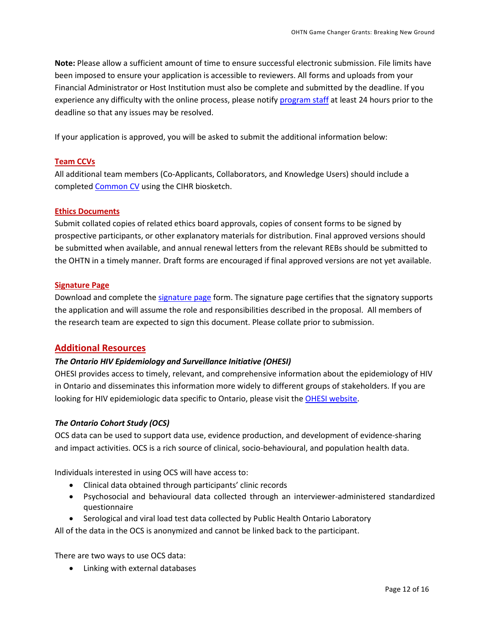**Note:** Please allow a sufficient amount of time to ensure successful electronic submission. File limits have been imposed to ensure your application is accessible to reviewers. All forms and uploads from your Financial Administrator or Host Institution must also be complete and submitted by the deadline. If you experience any difficulty with the online process, please notif[y program](mailto:funding@ohtn.on.ca?subject=Technical%20Issue%20with%20OHTN%20Online%20Application%20Portal) staff at least 24 hours prior to the deadline so that any issues may be resolved.

If your application is approved, you will be asked to submit the additional information below:

#### <span id="page-11-0"></span>**Team CCVs**

All additional team members (Co-Applicants, Collaborators, and Knowledge Users) should include a completed [Common CV](https://ccv-cvc.ca/indexresearcher-eng.frm) using the CIHR biosketch.

#### <span id="page-11-1"></span>**Ethics Documents**

Submit collated copies of related ethics board approvals, copies of consent forms to be signed by prospective participants, or other explanatory materials for distribution. Final approved versions should be submitted when available, and annual renewal letters from the relevant REBs should be submitted to the OHTN in a timely manner*.* Draft forms are encouraged if final approved versions are not yet available.

#### <span id="page-11-2"></span>**Signature Page**

Download and complete the [signature page](http://www.ohtn.on.ca/wp-content/uploads/2018/10/Signature_Page-2018.doc) form. The signature page certifies that the signatory supports the application and will assume the role and responsibilities described in the proposal. All members of the research team are expected to sign this document. Please collate prior to submission.

#### <span id="page-11-3"></span>**Additional Resources**

#### *The Ontario HIV Epidemiology and Surveillance Initiative (OHESI)*

OHESI provides access to timely, relevant, and comprehensive information about the epidemiology of HIV in Ontario and disseminates this information more widely to different groups of stakeholders. If you are looking for HIV epidemiologic data specific to Ontario, please visit th[e OHESI website.](http://www.ohesi.ca/)

#### *The Ontario Cohort Study (OCS)*

OCS data can be used to support data use, evidence production, and development of evidence-sharing and impact activities. OCS is a rich source of clinical, socio-behavioural, and population health data.

Individuals interested in using OCS will have access to:

- Clinical data obtained through participants' clinic records
- Psychosocial and behavioural data collected through an interviewer-administered standardized questionnaire
- Serological and viral load test data collected by Public Health Ontario Laboratory

All of the data in the OCS is anonymized and cannot be linked back to the participant.

There are two ways to use OCS data:

• Linking with external databases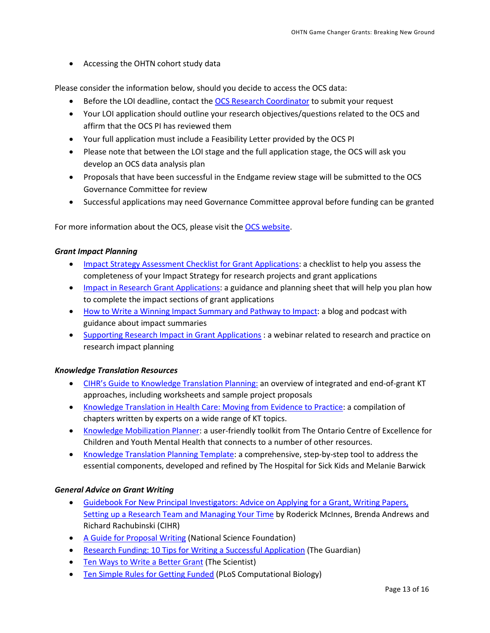• Accessing the OHTN cohort study data

Please consider the information below, should you decide to access the OCS data:

- Before the LOI deadline, contact th[e OCS Research Coordinator](mailto:ocsinfo@ohtn.on.ca) to submit your request
- Your LOI application should outline your research objectives/questions related to the OCS and affirm that the OCS PI has reviewed them
- Your full application must include a Feasibility Letter provided by the OCS PI
- Please note that between the LOI stage and the full application stage, the OCS will ask you develop an OCS data analysis plan
- Proposals that have been successful in the Endgame review stage will be submitted to the OCS Governance Committee for review
- Successful applications may need Governance Committee approval before funding can be granted

For more information about the OCS, please visit th[e OCS website.](http://ohtncohortstudy.ca/research/#accessing)

#### *Grant Impact Planning*

- [Impact Strategy Assessment Checklist for Grant Applications:](http://researchimpact.ca/wp-content/uploads/2018/08/Impact-Strategy-Assessment-Checklist.pdf) a checklist to help you assess the completeness of your Impact Strategy for research projects and grant applications
- [Impact in Research Grant Applications:](https://www.york.ac.uk/staff/research/research-impact/impact-in-grants/) a guidance and planning sheet that will help you plan how to complete the impact sections of grant applications
- [How to Write a Winning Impact Summary and Pathway to Impact:](https://www.fasttrackimpact.com/post/2017/06/01/how-to-write-an-impact-summary-and-pathway-to-impact) a blog and podcast with guidance about impact summaries
- [Supporting Research Impact in Grant Applications](http://researchimpact.ca/supporting-research-impact-in-grant-applications/) : a webinar related to research and practice on research impact planning

#### *Knowledge Translation Resources*

- [CIHR's Guide to Knowledge Translation Planning:](http://www.cihr-irsc.gc.ca/e/45321.html) an overview of integrated and end-of-grant KT approaches, including worksheets and sample project proposals
- [Knowledge Translation in Health Care: Moving from Evidence to Practice:](http://www.cihr-irsc.gc.ca/e/40618.html) a compilation of chapters written by experts on a wide range of KT topics.
- [Knowledge Mobilization Planner:](http://www.kmbtoolkit.ca/planning) a user-friendly toolkit from The Ontario Centre of Excellence for Children and Youth Mental Health that connects to a number of other resources.
- [Knowledge Translation Planning Template:](http://www.sickkids.ca/Learning/AbouttheInstitute/Programs/Knowledge-Translation/Resources/Resources.html) a comprehensive, step-by-step tool to address the essential components, developed and refined by The Hospital for Sick Kids and Melanie Barwick

#### *General Advice on Grant Writing*

- [Guidebook For New Principal Investigators: Advice on Applying for a Grant, Writing Papers,](http://www.cihr-irsc.gc.ca/e/27491.html#1.5)  [Setting up a Research Team and Managing Your Time](http://www.cihr-irsc.gc.ca/e/27491.html#1.5) by Roderick McInnes, Brenda Andrews and Richard Rachubinski (CIHR)
- [A Guide for Proposal Writing](http://www.nsf.gov/pubs/1998/nsf9891/nsf9891.htm) (National Science Foundation)
- [Research Funding: 10 Tips for Writing a Successful Application](http://www.theguardian.com/higher-education-network/blog/2013/apr/19/tips-successful-research-grant-funding?CMP=twt_gu) (The Guardian)
- [Ten Ways to Write a Better Grant](http://www.the-scientist.com/?articles.view/articleNo/24622/title/Ten-Ways-to-Write-a-Better-Grant/) (The Scientist)
- [Ten Simple Rules for Getting Funded](http://journals.plos.org/ploscompbiol/article?id=10.1371/journal.pcbi.0020012) (PLoS Computational Biology)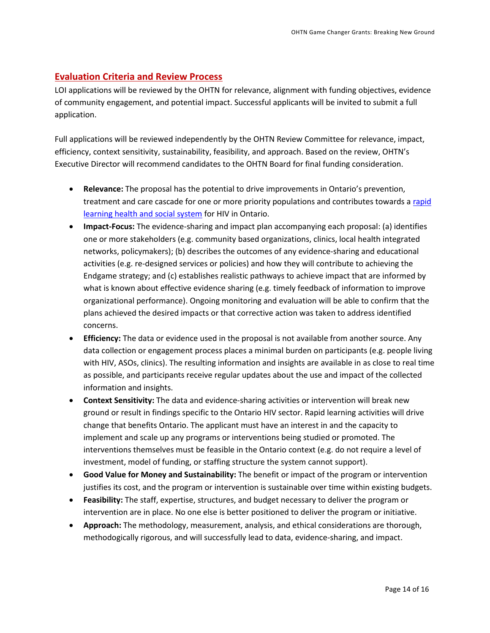#### <span id="page-13-0"></span>**Evaluation Criteria and Review Process**

LOI applications will be reviewed by the OHTN for relevance, alignment with funding objectives, evidence of community engagement, and potential impact. Successful applicants will be invited to submit a full application.

Full applications will be reviewed independently by the OHTN Review Committee for relevance, impact, efficiency, context sensitivity, sustainability, feasibility, and approach. Based on the review, OHTN's Executive Director will recommend candidates to the OHTN Board for final funding consideration.

- **Relevance:** The proposal has the potential to drive improvements in Ontario's prevention, treatment and care cascade for one or more priority populations and contributes towards a rapid [learning health and social system](http://www.ohtn.on.ca/about/rapid-learning/) for HIV in Ontario.
- **Impact-Focus:** The evidence-sharing and impact plan accompanying each proposal: (a) identifies one or more stakeholders (e.g. community based organizations, clinics, local health integrated networks, policymakers); (b) describes the outcomes of any evidence-sharing and educational activities (e.g. re-designed services or policies) and how they will contribute to achieving the Endgame strategy; and (c) establishes realistic pathways to achieve impact that are informed by what is known about effective evidence sharing (e.g. timely feedback of information to improve organizational performance). Ongoing monitoring and evaluation will be able to confirm that the plans achieved the desired impacts or that corrective action was taken to address identified concerns.
- **Efficiency:** The data or evidence used in the proposal is not available from another source. Any data collection or engagement process places a minimal burden on participants (e.g. people living with HIV, ASOs, clinics). The resulting information and insights are available in as close to real time as possible, and participants receive regular updates about the use and impact of the collected information and insights.
- **Context Sensitivity:** The data and evidence-sharing activities or intervention will break new ground or result in findings specific to the Ontario HIV sector. Rapid learning activities will drive change that benefits Ontario. The applicant must have an interest in and the capacity to implement and scale up any programs or interventions being studied or promoted. The interventions themselves must be feasible in the Ontario context (e.g. do not require a level of investment, model of funding, or staffing structure the system cannot support).
- **Good Value for Money and Sustainability:** The benefit or impact of the program or intervention justifies its cost, and the program or intervention is sustainable over time within existing budgets.
- **Feasibility:** The staff, expertise, structures, and budget necessary to deliver the program or intervention are in place. No one else is better positioned to deliver the program or initiative.
- **Approach:** The methodology, measurement, analysis, and ethical considerations are thorough, methodogically rigorous, and will successfully lead to data, evidence-sharing, and impact.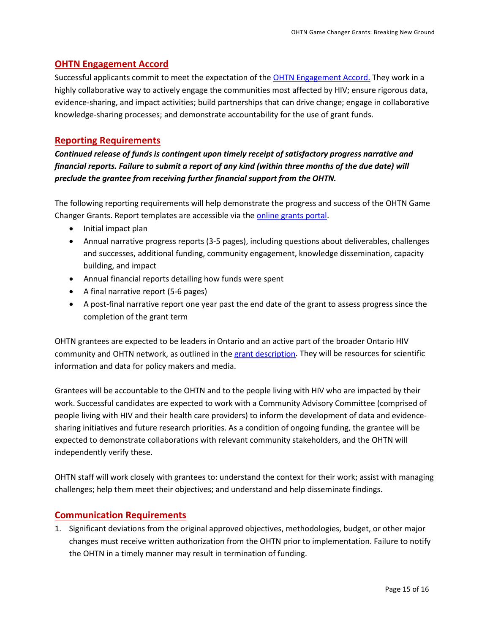## <span id="page-14-0"></span>**OHTN Engagement Accord**

Successful applicants commit to meet the expectation of the [OHTN Engagement Accord.](http://www.ohtn.on.ca/wp-content/uploads/research-funding/OHTN-Engagement-Accord.pdf) They work in a highly collaborative way to actively engage the communities most affected by HIV; ensure rigorous data, evidence-sharing, and impact activities; build partnerships that can drive change; engage in collaborative knowledge-sharing processes; and demonstrate accountability for the use of grant funds.

#### <span id="page-14-1"></span>**Reporting Requirements**

*Continued release of funds is contingent upon timely receipt of satisfactory progress narrative and financial reports. Failure to submit a report of any kind (within three months of the due date) will preclude the grantee from receiving further financial support from the OHTN.* 

The following reporting requirements will help demonstrate the progress and success of the OHTN Game Changer Grants. Report templates are accessible via the [online grants portal.](https://apply-ohtn-on.smapply.io/)

- Initial impact plan
- Annual narrative progress reports (3-5 pages), including questions about deliverables, challenges and successes, additional funding, community engagement, knowledge dissemination, capacity building, and impact
- Annual financial reports detailing how funds were spent
- A final narrative report (5-6 pages)
- A post-final narrative report one year past the end date of the grant to assess progress since the completion of the grant term

OHTN grantees are expected to be leaders in Ontario and an active part of the broader Ontario HIV community and OHTN network, as outlined in the grant [description.](#page-3-1) They will be resources for scientific information and data for policy makers and media.

Grantees will be accountable to the OHTN and to the people living with HIV who are impacted by their work. Successful candidates are expected to work with a Community Advisory Committee (comprised of people living with HIV and their health care providers) to inform the development of data and evidencesharing initiatives and future research priorities. As a condition of ongoing funding, the grantee will be expected to demonstrate collaborations with relevant community stakeholders, and the OHTN will independently verify these.

OHTN staff will work closely with grantees to: understand the context for their work; assist with managing challenges; help them meet their objectives; and understand and help disseminate findings.

#### <span id="page-14-2"></span>**Communication Requirements**

1. Significant deviations from the original approved objectives, methodologies, budget, or other major changes must receive written authorization from the OHTN prior to implementation. Failure to notify the OHTN in a timely manner may result in termination of funding.